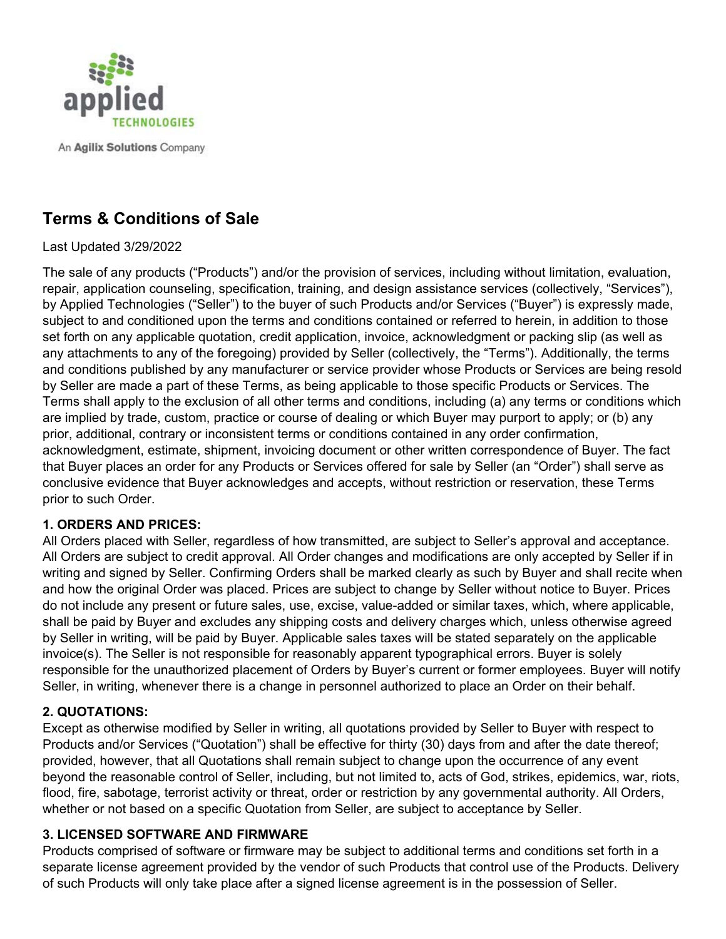

An Agilix Solutions Company

# **Terms & Conditions of Sale**

### Last Updated 3/29/2022

The sale of any products ("Products") and/or the provision of services, including without limitation, evaluation, repair, application counseling, specification, training, and design assistance services (collectively, "Services"), by Applied Technologies ("Seller") to the buyer of such Products and/or Services ("Buyer") is expressly made, subject to and conditioned upon the terms and conditions contained or referred to herein, in addition to those set forth on any applicable quotation, credit application, invoice, acknowledgment or packing slip (as well as any attachments to any of the foregoing) provided by Seller (collectively, the "Terms"). Additionally, the terms and conditions published by any manufacturer or service provider whose Products or Services are being resold by Seller are made a part of these Terms, as being applicable to those specific Products or Services. The Terms shall apply to the exclusion of all other terms and conditions, including (a) any terms or conditions which are implied by trade, custom, practice or course of dealing or which Buyer may purport to apply; or (b) any prior, additional, contrary or inconsistent terms or conditions contained in any order confirmation, acknowledgment, estimate, shipment, invoicing document or other written correspondence of Buyer. The fact that Buyer places an order for any Products or Services offered for sale by Seller (an "Order") shall serve as conclusive evidence that Buyer acknowledges and accepts, without restriction or reservation, these Terms prior to such Order.

#### **1. ORDERS AND PRICES:**

All Orders placed with Seller, regardless of how transmitted, are subject to Seller's approval and acceptance. All Orders are subject to credit approval. All Order changes and modifications are only accepted by Seller if in writing and signed by Seller. Confirming Orders shall be marked clearly as such by Buyer and shall recite when and how the original Order was placed. Prices are subject to change by Seller without notice to Buyer. Prices do not include any present or future sales, use, excise, value-added or similar taxes, which, where applicable, shall be paid by Buyer and excludes any shipping costs and delivery charges which, unless otherwise agreed by Seller in writing, will be paid by Buyer. Applicable sales taxes will be stated separately on the applicable invoice(s). The Seller is not responsible for reasonably apparent typographical errors. Buyer is solely responsible for the unauthorized placement of Orders by Buyer's current or former employees. Buyer will notify Seller, in writing, whenever there is a change in personnel authorized to place an Order on their behalf.

# **2. QUOTATIONS:**

Except as otherwise modified by Seller in writing, all quotations provided by Seller to Buyer with respect to Products and/or Services ("Quotation") shall be effective for thirty (30) days from and after the date thereof; provided, however, that all Quotations shall remain subject to change upon the occurrence of any event beyond the reasonable control of Seller, including, but not limited to, acts of God, strikes, epidemics, war, riots, flood, fire, sabotage, terrorist activity or threat, order or restriction by any governmental authority. All Orders, whether or not based on a specific Quotation from Seller, are subject to acceptance by Seller.

# **3. LICENSED SOFTWARE AND FIRMWARE**

Products comprised of software or firmware may be subject to additional terms and conditions set forth in a separate license agreement provided by the vendor of such Products that control use of the Products. Delivery of such Products will only take place after a signed license agreement is in the possession of Seller.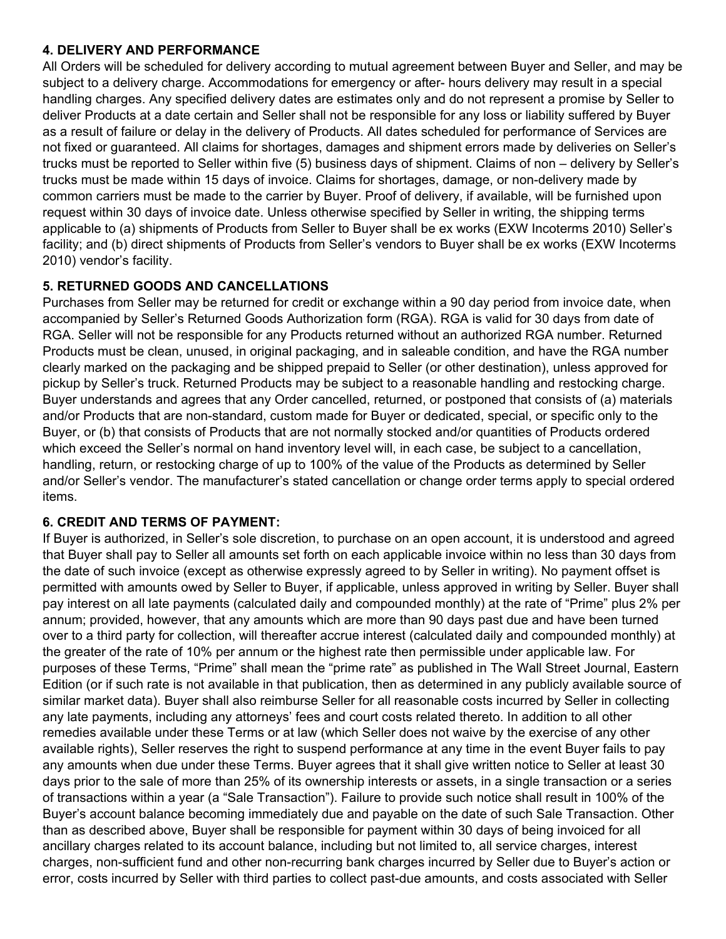#### **4. DELIVERY AND PERFORMANCE**

All Orders will be scheduled for delivery according to mutual agreement between Buyer and Seller, and may be subject to a delivery charge. Accommodations for emergency or after- hours delivery may result in a special handling charges. Any specified delivery dates are estimates only and do not represent a promise by Seller to deliver Products at a date certain and Seller shall not be responsible for any loss or liability suffered by Buyer as a result of failure or delay in the delivery of Products. All dates scheduled for performance of Services are not fixed or guaranteed. All claims for shortages, damages and shipment errors made by deliveries on Seller's trucks must be reported to Seller within five (5) business days of shipment. Claims of non – delivery by Seller's trucks must be made within 15 days of invoice. Claims for shortages, damage, or non-delivery made by common carriers must be made to the carrier by Buyer. Proof of delivery, if available, will be furnished upon request within 30 days of invoice date. Unless otherwise specified by Seller in writing, the shipping terms applicable to (a) shipments of Products from Seller to Buyer shall be ex works (EXW Incoterms 2010) Seller's facility; and (b) direct shipments of Products from Seller's vendors to Buyer shall be ex works (EXW Incoterms 2010) vendor's facility.

# **5. RETURNED GOODS AND CANCELLATIONS**

Purchases from Seller may be returned for credit or exchange within a 90 day period from invoice date, when accompanied by Seller's Returned Goods Authorization form (RGA). RGA is valid for 30 days from date of RGA. Seller will not be responsible for any Products returned without an authorized RGA number. Returned Products must be clean, unused, in original packaging, and in saleable condition, and have the RGA number clearly marked on the packaging and be shipped prepaid to Seller (or other destination), unless approved for pickup by Seller's truck. Returned Products may be subject to a reasonable handling and restocking charge. Buyer understands and agrees that any Order cancelled, returned, or postponed that consists of (a) materials and/or Products that are non-standard, custom made for Buyer or dedicated, special, or specific only to the Buyer, or (b) that consists of Products that are not normally stocked and/or quantities of Products ordered which exceed the Seller's normal on hand inventory level will, in each case, be subject to a cancellation, handling, return, or restocking charge of up to 100% of the value of the Products as determined by Seller and/or Seller's vendor. The manufacturer's stated cancellation or change order terms apply to special ordered items.

# **6. CREDIT AND TERMS OF PAYMENT:**

If Buyer is authorized, in Seller's sole discretion, to purchase on an open account, it is understood and agreed that Buyer shall pay to Seller all amounts set forth on each applicable invoice within no less than 30 days from the date of such invoice (except as otherwise expressly agreed to by Seller in writing). No payment offset is permitted with amounts owed by Seller to Buyer, if applicable, unless approved in writing by Seller. Buyer shall pay interest on all late payments (calculated daily and compounded monthly) at the rate of "Prime" plus 2% per annum; provided, however, that any amounts which are more than 90 days past due and have been turned over to a third party for collection, will thereafter accrue interest (calculated daily and compounded monthly) at the greater of the rate of 10% per annum or the highest rate then permissible under applicable law. For purposes of these Terms, "Prime" shall mean the "prime rate" as published in The Wall Street Journal, Eastern Edition (or if such rate is not available in that publication, then as determined in any publicly available source of similar market data). Buyer shall also reimburse Seller for all reasonable costs incurred by Seller in collecting any late payments, including any attorneys' fees and court costs related thereto. In addition to all other remedies available under these Terms or at law (which Seller does not waive by the exercise of any other available rights), Seller reserves the right to suspend performance at any time in the event Buyer fails to pay any amounts when due under these Terms. Buyer agrees that it shall give written notice to Seller at least 30 days prior to the sale of more than 25% of its ownership interests or assets, in a single transaction or a series of transactions within a year (a "Sale Transaction"). Failure to provide such notice shall result in 100% of the Buyer's account balance becoming immediately due and payable on the date of such Sale Transaction. Other than as described above, Buyer shall be responsible for payment within 30 days of being invoiced for all ancillary charges related to its account balance, including but not limited to, all service charges, interest charges, non-sufficient fund and other non-recurring bank charges incurred by Seller due to Buyer's action or error, costs incurred by Seller with third parties to collect past-due amounts, and costs associated with Seller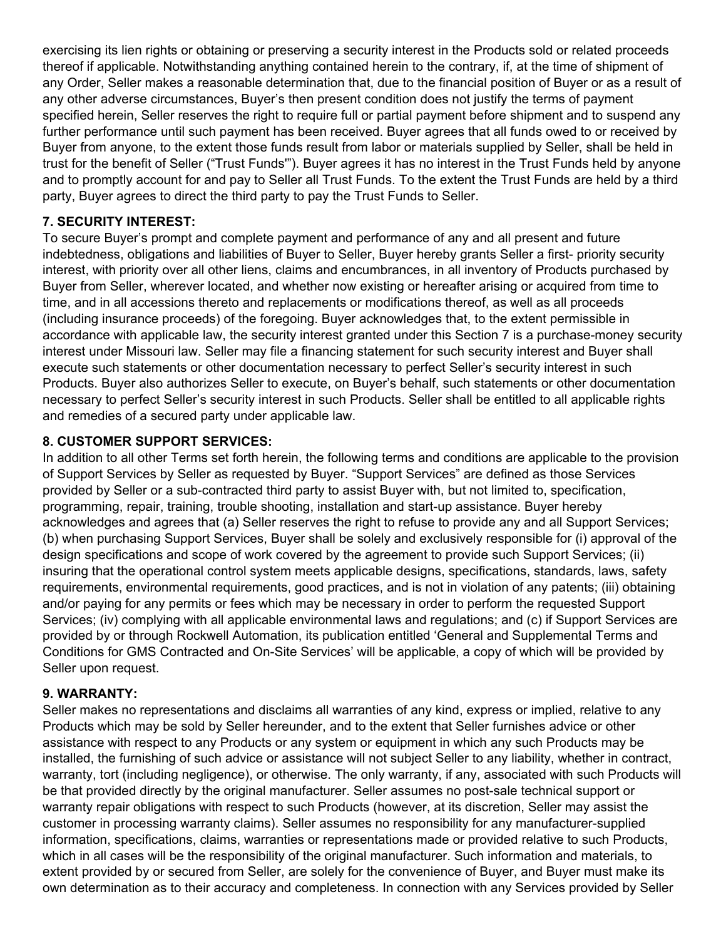exercising its lien rights or obtaining or preserving a security interest in the Products sold or related proceeds thereof if applicable. Notwithstanding anything contained herein to the contrary, if, at the time of shipment of any Order, Seller makes a reasonable determination that, due to the financial position of Buyer or as a result of any other adverse circumstances, Buyer's then present condition does not justify the terms of payment specified herein, Seller reserves the right to require full or partial payment before shipment and to suspend any further performance until such payment has been received. Buyer agrees that all funds owed to or received by Buyer from anyone, to the extent those funds result from labor or materials supplied by Seller, shall be held in trust for the benefit of Seller ("Trust Funds'"). Buyer agrees it has no interest in the Trust Funds held by anyone and to promptly account for and pay to Seller all Trust Funds. To the extent the Trust Funds are held by a third party, Buyer agrees to direct the third party to pay the Trust Funds to Seller.

# **7. SECURITY INTEREST:**

To secure Buyer's prompt and complete payment and performance of any and all present and future indebtedness, obligations and liabilities of Buyer to Seller, Buyer hereby grants Seller a first- priority security interest, with priority over all other liens, claims and encumbrances, in all inventory of Products purchased by Buyer from Seller, wherever located, and whether now existing or hereafter arising or acquired from time to time, and in all accessions thereto and replacements or modifications thereof, as well as all proceeds (including insurance proceeds) of the foregoing. Buyer acknowledges that, to the extent permissible in accordance with applicable law, the security interest granted under this Section 7 is a purchase-money security interest under Missouri law. Seller may file a financing statement for such security interest and Buyer shall execute such statements or other documentation necessary to perfect Seller's security interest in such Products. Buyer also authorizes Seller to execute, on Buyer's behalf, such statements or other documentation necessary to perfect Seller's security interest in such Products. Seller shall be entitled to all applicable rights and remedies of a secured party under applicable law.

### **8. CUSTOMER SUPPORT SERVICES:**

In addition to all other Terms set forth herein, the following terms and conditions are applicable to the provision of Support Services by Seller as requested by Buyer. "Support Services" are defined as those Services provided by Seller or a sub-contracted third party to assist Buyer with, but not limited to, specification, programming, repair, training, trouble shooting, installation and start-up assistance. Buyer hereby acknowledges and agrees that (a) Seller reserves the right to refuse to provide any and all Support Services; (b) when purchasing Support Services, Buyer shall be solely and exclusively responsible for (i) approval of the design specifications and scope of work covered by the agreement to provide such Support Services; (ii) insuring that the operational control system meets applicable designs, specifications, standards, laws, safety requirements, environmental requirements, good practices, and is not in violation of any patents; (iii) obtaining and/or paying for any permits or fees which may be necessary in order to perform the requested Support Services; (iv) complying with all applicable environmental laws and regulations; and (c) if Support Services are provided by or through Rockwell Automation, its publication entitled 'General and Supplemental Terms and Conditions for GMS Contracted and On-Site Services' will be applicable, a copy of which will be provided by Seller upon request.

# **9. WARRANTY:**

Seller makes no representations and disclaims all warranties of any kind, express or implied, relative to any Products which may be sold by Seller hereunder, and to the extent that Seller furnishes advice or other assistance with respect to any Products or any system or equipment in which any such Products may be installed, the furnishing of such advice or assistance will not subject Seller to any liability, whether in contract, warranty, tort (including negligence), or otherwise. The only warranty, if any, associated with such Products will be that provided directly by the original manufacturer. Seller assumes no post-sale technical support or warranty repair obligations with respect to such Products (however, at its discretion, Seller may assist the customer in processing warranty claims). Seller assumes no responsibility for any manufacturer-supplied information, specifications, claims, warranties or representations made or provided relative to such Products, which in all cases will be the responsibility of the original manufacturer. Such information and materials, to extent provided by or secured from Seller, are solely for the convenience of Buyer, and Buyer must make its own determination as to their accuracy and completeness. In connection with any Services provided by Seller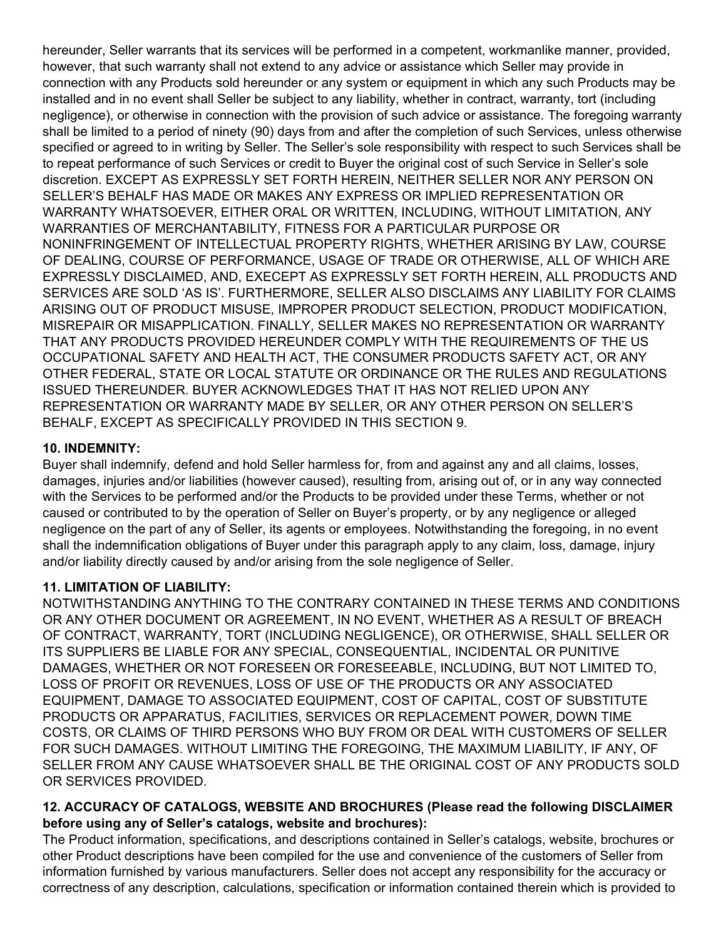hereunder, Seller warrants that its services will be performed in a competent, workmanlike manner, provided, however, that such warranty shall not extend to any advice or assistance which Seller may provide in connection with any Products sold hereunder or any system or equipment in which any such Products may be installed and in no event shall Seller be subject to any liability, whether in contract, warranty, tort (including negligence), or otherwise in connection with the provision of such advice or assistance. The foregoing warranty shall be limited to a period of ninety (90) days from and after the completion of such Services, unless otherwise specified or agreed to in writing by Seller. The Seller's sole responsibility with respect to such Services shall be to repeat performance of such Services or credit to Buyer the original cost of such Service in Seller's sole discretion. EXCEPT AS EXPRESSLY SET FORTH HEREIN, NEITHER SELLER NOR ANY PERSON ON SELLER'S BEHALF HAS MADE OR MAKES ANY EXPRESS OR IMPLIED REPRESENTATION OR WARRANTY WHATSOEVER, EITHER ORAL OR WRITTEN, INCLUDING, WITHOUT LIMITATION, ANY WARRANTIES OF MERCHANTABILITY, FITNESS FOR A PARTICULAR PURPOSE OR NONINFRINGEMENT OF INTELLECTUAL PROPERTY RIGHTS, WHETHER ARISING BY LAW, COURSE OF DEALING, COURSE OF PERFORMANCE, USAGE OF TRADE OR OTHERWISE, ALL OF WHICH ARE EXPRESSLY DISCLAIMED, AND, EXECEPT AS EXPRESSLY SET FORTH HEREIN, ALL PRODUCTS AND SERVICES ARE SOLD 'AS IS'. FURTHERMORE, SELLER ALSO DISCLAIMS ANY LIABILITY FOR CLAIMS ARISING OUT OF PRODUCT MISUSE, IMPROPER PRODUCT SELECTION, PRODUCT MODIFICATION, MISREPAIR OR MISAPPLICATION. FINALLY, SELLER MAKES NO REPRESENTATION OR WARRANTY THAT ANY PRODUCTS PROVIDED HEREUNDER COMPLY WITH THE REQUIREMENTS OF THE US OCCUPATIONAL SAFETY AND HEALTH ACT, THE CONSUMER PRODUCTS SAFETY ACT, OR ANY OTHER FEDERAL, STATE OR LOCAL STATUTE OR ORDINANCE OR THE RULES AND REGULATIONS ISSUED THEREUNDER. BUYER ACKNOWLEDGES THAT IT HAS NOT RELIED UPON ANY REPRESENTATION OR WARRANTY MADE BY SELLER, OR ANY OTHER PERSON ON SELLER'S BEHALF, EXCEPT AS SPECIFICALLY PROVIDED IN THIS SECTION 9.

### **10. INDEMNITY:**

Buyer shall indemnify, defend and hold Seller harmless for, from and against any and all claims, losses, damages, injuries and/or liabilities (however caused), resulting from, arising out of, or in any way connected with the Services to be performed and/or the Products to be provided under these Terms, whether or not caused or contributed to by the operation of Seller on Buyer's property, or by any negligence or alleged negligence on the part of any of Seller, its agents or employees. Notwithstanding the foregoing, in no event shall the indemnification obligations of Buyer under this paragraph apply to any claim, loss, damage, injury and/or liability directly caused by and/or arising from the sole negligence of Seller.

# **11. LIMITATION OF LIABILITY:**

NOTWITHSTANDING ANYTHING TO THE CONTRARY CONTAINED IN THESE TERMS AND CONDITIONS OR ANY OTHER DOCUMENT OR AGREEMENT, IN NO EVENT, WHETHER AS A RESULT OF BREACH OF CONTRACT, WARRANTY, TORT (INCLUDING NEGLIGENCE), OR OTHERWISE, SHALL SELLER OR ITS SUPPLIERS BE LIABLE FOR ANY SPECIAL, CONSEQUENTIAL, INCIDENTAL OR PUNITIVE DAMAGES, WHETHER OR NOT FORESEEN OR FORESEEABLE, INCLUDING, BUT NOT LIMITED TO, LOSS OF PROFIT OR REVENUES, LOSS OF USE OF THE PRODUCTS OR ANY ASSOCIATED EQUIPMENT, DAMAGE TO ASSOCIATED EQUIPMENT, COST OF CAPITAL, COST OF SUBSTITUTE PRODUCTS OR APPARATUS, FACILITIES, SERVICES OR REPLACEMENT POWER, DOWN TIME COSTS, OR CLAIMS OF THIRD PERSONS WHO BUY FROM OR DEAL WITH CUSTOMERS OF SELLER FOR SUCH DAMAGES. WITHOUT LIMITING THE FOREGOING, THE MAXIMUM LIABILITY, IF ANY, OF SELLER FROM ANY CAUSE WHATSOEVER SHALL BE THE ORIGINAL COST OF ANY PRODUCTS SOLD OR SERVICES PROVIDED.

#### **12. ACCURACY OF CATALOGS, WEBSITE AND BROCHURES (Please read the following DISCLAIMER before using any of Seller's catalogs, website and brochures):**

The Product information, specifications, and descriptions contained in Seller's catalogs, website, brochures or other Product descriptions have been compiled for the use and convenience of the customers of Seller from information furnished by various manufacturers. Seller does not accept any responsibility for the accuracy or correctness of any description, calculations, specification or information contained therein which is provided to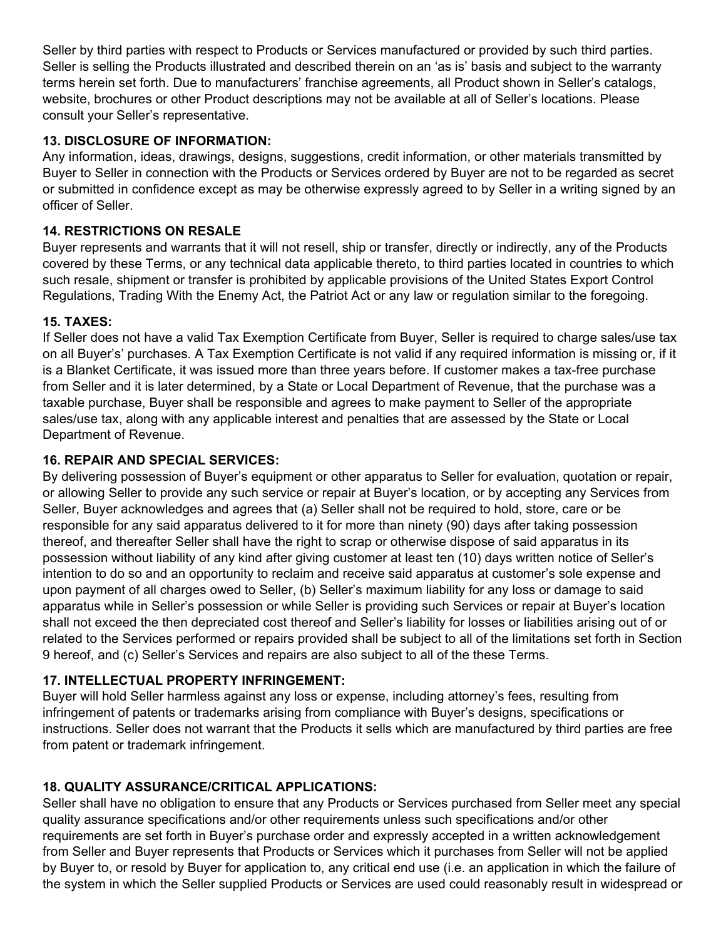Seller by third parties with respect to Products or Services manufactured or provided by such third parties. Seller is selling the Products illustrated and described therein on an 'as is' basis and subject to the warranty terms herein set forth. Due to manufacturers' franchise agreements, all Product shown in Seller's catalogs, website, brochures or other Product descriptions may not be available at all of Seller's locations. Please consult your Seller's representative.

# **13. DISCLOSURE OF INFORMATION:**

Any information, ideas, drawings, designs, suggestions, credit information, or other materials transmitted by Buyer to Seller in connection with the Products or Services ordered by Buyer are not to be regarded as secret or submitted in confidence except as may be otherwise expressly agreed to by Seller in a writing signed by an officer of Seller.

# **14. RESTRICTIONS ON RESALE**

Buyer represents and warrants that it will not resell, ship or transfer, directly or indirectly, any of the Products covered by these Terms, or any technical data applicable thereto, to third parties located in countries to which such resale, shipment or transfer is prohibited by applicable provisions of the United States Export Control Regulations, Trading With the Enemy Act, the Patriot Act or any law or regulation similar to the foregoing.

# **15. TAXES:**

If Seller does not have a valid Tax Exemption Certificate from Buyer, Seller is required to charge sales/use tax on all Buyer's' purchases. A Tax Exemption Certificate is not valid if any required information is missing or, if it is a Blanket Certificate, it was issued more than three years before. If customer makes a tax-free purchase from Seller and it is later determined, by a State or Local Department of Revenue, that the purchase was a taxable purchase, Buyer shall be responsible and agrees to make payment to Seller of the appropriate sales/use tax, along with any applicable interest and penalties that are assessed by the State or Local Department of Revenue.

# **16. REPAIR AND SPECIAL SERVICES:**

By delivering possession of Buyer's equipment or other apparatus to Seller for evaluation, quotation or repair, or allowing Seller to provide any such service or repair at Buyer's location, or by accepting any Services from Seller, Buyer acknowledges and agrees that (a) Seller shall not be required to hold, store, care or be responsible for any said apparatus delivered to it for more than ninety (90) days after taking possession thereof, and thereafter Seller shall have the right to scrap or otherwise dispose of said apparatus in its possession without liability of any kind after giving customer at least ten (10) days written notice of Seller's intention to do so and an opportunity to reclaim and receive said apparatus at customer's sole expense and upon payment of all charges owed to Seller, (b) Seller's maximum liability for any loss or damage to said apparatus while in Seller's possession or while Seller is providing such Services or repair at Buyer's location shall not exceed the then depreciated cost thereof and Seller's liability for losses or liabilities arising out of or related to the Services performed or repairs provided shall be subject to all of the limitations set forth in Section 9 hereof, and (c) Seller's Services and repairs are also subject to all of the these Terms.

# **17. INTELLECTUAL PROPERTY INFRINGEMENT:**

Buyer will hold Seller harmless against any loss or expense, including attorney's fees, resulting from infringement of patents or trademarks arising from compliance with Buyer's designs, specifications or instructions. Seller does not warrant that the Products it sells which are manufactured by third parties are free from patent or trademark infringement.

# **18. QUALITY ASSURANCE/CRITICAL APPLICATIONS:**

Seller shall have no obligation to ensure that any Products or Services purchased from Seller meet any special quality assurance specifications and/or other requirements unless such specifications and/or other requirements are set forth in Buyer's purchase order and expressly accepted in a written acknowledgement from Seller and Buyer represents that Products or Services which it purchases from Seller will not be applied by Buyer to, or resold by Buyer for application to, any critical end use (i.e. an application in which the failure of the system in which the Seller supplied Products or Services are used could reasonably result in widespread or